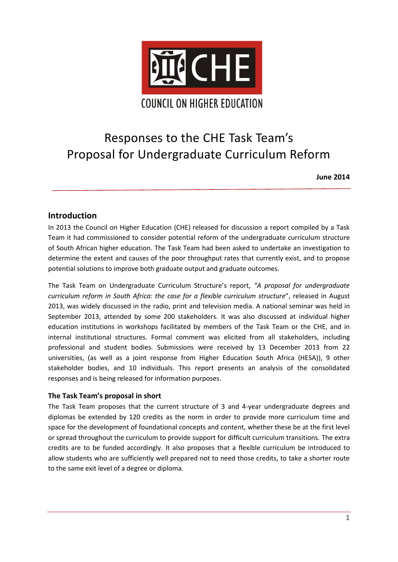

# Responses to the CHE Task Team's Proposal for Undergraduate Curriculum Reform

**June 2014**

# **Introduction**

In 2013 the Council on Higher Education (CHE) released for discussion a report compiled by a Task Team it had commissioned to consider potential reform of the undergraduate curriculum structure of South African higher education. The Task Team had been asked to undertake an investigation to determine the extent and causes of the poor throughput rates that currently exist, and to propose potential solutions to improve both graduate output and graduate outcomes.

The Task Team on Undergraduate Curriculum Structure's report, *"A proposal for undergraduate curriculum reform in South Africa: the case for a flexible curriculum structure*", released in August 2013, was widely discussed in the radio, print and television media. A national seminar was held in September 2013, attended by some 200 stakeholders. It was also discussed at individual higher education institutions in workshops facilitated by members of the Task Team or the CHE, and in internal institutional structures. Formal comment was elicited from all stakeholders, including professional and student bodies. Submissions were received by 13 December 2013 from 22 universities, (as well as a joint response from Higher Education South Africa (HESA)), 9 other stakeholder bodies, and 10 individuals. This report presents an analysis of the consolidated responses and is being released for information purposes.

#### **The Task Team's proposal in short**

The Task Team proposes that the current structure of 3 and 4-year undergraduate degrees and diplomas be extended by 120 credits as the norm in order to provide more curriculum time and space for the development of foundational concepts and content, whether these be at the first level or spread throughout the curriculum to provide support for difficult curriculum transitions. The extra credits are to be funded accordingly. It also proposes that a flexible curriculum be introduced to allow students who are sufficiently well prepared not to need those credits, to take a shorter route to the same exit level of a degree or diploma.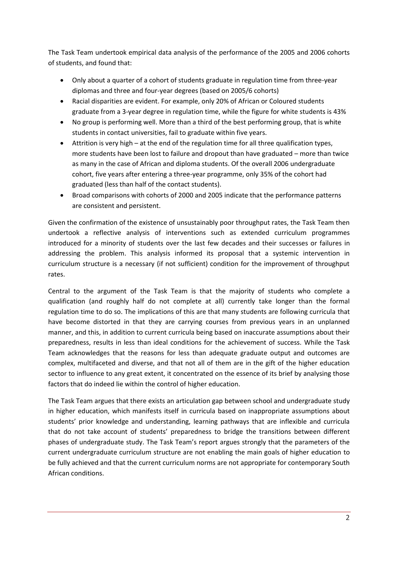The Task Team undertook empirical data analysis of the performance of the 2005 and 2006 cohorts of students, and found that:

- Only about a quarter of a cohort of students graduate in regulation time from three-year diplomas and three and four-year degrees (based on 2005/6 cohorts)
- Racial disparities are evident. For example, only 20% of African or Coloured students graduate from a 3-year degree in regulation time, while the figure for white students is 43%
- No group is performing well. More than a third of the best performing group, that is white students in contact universities, fail to graduate within five years.
- Attrition is very high at the end of the regulation time for all three qualification types, more students have been lost to failure and dropout than have graduated – more than twice as many in the case of African and diploma students. Of the overall 2006 undergraduate cohort, five years after entering a three-year programme, only 35% of the cohort had graduated (less than half of the contact students).
- Broad comparisons with cohorts of 2000 and 2005 indicate that the performance patterns are consistent and persistent.

Given the confirmation of the existence of unsustainably poor throughput rates, the Task Team then undertook a reflective analysis of interventions such as extended curriculum programmes introduced for a minority of students over the last few decades and their successes or failures in addressing the problem. This analysis informed its proposal that a systemic intervention in curriculum structure is a necessary (if not sufficient) condition for the improvement of throughput rates.

Central to the argument of the Task Team is that the majority of students who complete a qualification (and roughly half do not complete at all) currently take longer than the formal regulation time to do so. The implications of this are that many students are following curricula that have become distorted in that they are carrying courses from previous years in an unplanned manner, and this, in addition to current curricula being based on inaccurate assumptions about their preparedness, results in less than ideal conditions for the achievement of success. While the Task Team acknowledges that the reasons for less than adequate graduate output and outcomes are complex, multifaceted and diverse, and that not all of them are in the gift of the higher education sector to influence to any great extent, it concentrated on the essence of its brief by analysing those factors that do indeed lie within the control of higher education.

The Task Team argues that there exists an articulation gap between school and undergraduate study in higher education, which manifests itself in curricula based on inappropriate assumptions about students' prior knowledge and understanding, learning pathways that are inflexible and curricula that do not take account of students' preparedness to bridge the transitions between different phases of undergraduate study. The Task Team's report argues strongly that the parameters of the current undergraduate curriculum structure are not enabling the main goals of higher education to be fully achieved and that the current curriculum norms are not appropriate for contemporary South African conditions.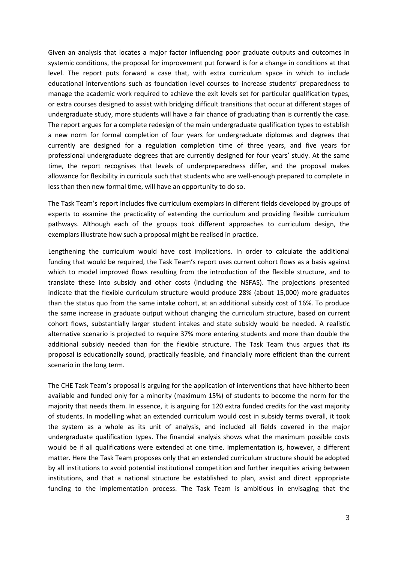Given an analysis that locates a major factor influencing poor graduate outputs and outcomes in systemic conditions, the proposal for improvement put forward is for a change in conditions at that level. The report puts forward a case that, with extra curriculum space in which to include educational interventions such as foundation level courses to increase students' preparedness to manage the academic work required to achieve the exit levels set for particular qualification types, or extra courses designed to assist with bridging difficult transitions that occur at different stages of undergraduate study, more students will have a fair chance of graduating than is currently the case. The report argues for a complete redesign of the main undergraduate qualification types to establish a new norm for formal completion of four years for undergraduate diplomas and degrees that currently are designed for a regulation completion time of three years, and five years for professional undergraduate degrees that are currently designed for four years' study. At the same time, the report recognises that levels of underpreparedness differ, and the proposal makes allowance for flexibility in curricula such that students who are well-enough prepared to complete in less than then new formal time, will have an opportunity to do so.

The Task Team's report includes five curriculum exemplars in different fields developed by groups of experts to examine the practicality of extending the curriculum and providing flexible curriculum pathways. Although each of the groups took different approaches to curriculum design, the exemplars illustrate how such a proposal might be realised in practice.

Lengthening the curriculum would have cost implications. In order to calculate the additional funding that would be required, the Task Team's report uses current cohort flows as a basis against which to model improved flows resulting from the introduction of the flexible structure, and to translate these into subsidy and other costs (including the NSFAS). The projections presented indicate that the flexible curriculum structure would produce 28% (about 15,000) more graduates than the status quo from the same intake cohort, at an additional subsidy cost of 16%. To produce the same increase in graduate output without changing the curriculum structure, based on current cohort flows, substantially larger student intakes and state subsidy would be needed. A realistic alternative scenario is projected to require 37% more entering students and more than double the additional subsidy needed than for the flexible structure. The Task Team thus argues that its proposal is educationally sound, practically feasible, and financially more efficient than the current scenario in the long term.

The CHE Task Team's proposal is arguing for the application of interventions that have hitherto been available and funded only for a minority (maximum 15%) of students to become the norm for the majority that needs them. In essence, it is arguing for 120 extra funded credits for the vast majority of students. In modelling what an extended curriculum would cost in subsidy terms overall, it took the system as a whole as its unit of analysis, and included all fields covered in the major undergraduate qualification types. The financial analysis shows what the maximum possible costs would be if all qualifications were extended at one time. Implementation is, however, a different matter. Here the Task Team proposes only that an extended curriculum structure should be adopted by all institutions to avoid potential institutional competition and further inequities arising between institutions, and that a national structure be established to plan, assist and direct appropriate funding to the implementation process. The Task Team is ambitious in envisaging that the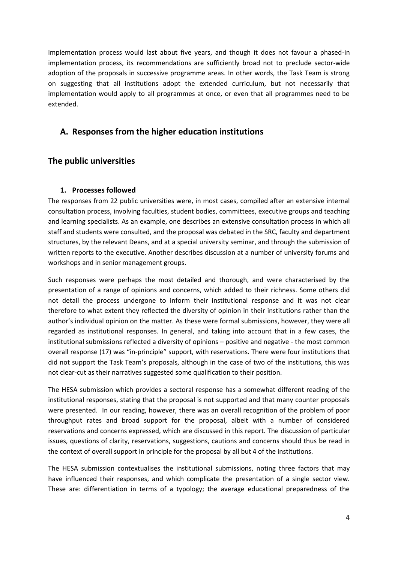implementation process would last about five years, and though it does not favour a phased-in implementation process, its recommendations are sufficiently broad not to preclude sector-wide adoption of the proposals in successive programme areas. In other words, the Task Team is strong on suggesting that all institutions adopt the extended curriculum, but not necessarily that implementation would apply to all programmes at once, or even that all programmes need to be extended.

# **A. Responses from the higher education institutions**

# **The public universities**

## **1. Processes followed**

The responses from 22 public universities were, in most cases, compiled after an extensive internal consultation process, involving faculties, student bodies, committees, executive groups and teaching and learning specialists. As an example, one describes an extensive consultation process in which all staff and students were consulted, and the proposal was debated in the SRC, faculty and department structures, by the relevant Deans, and at a special university seminar, and through the submission of written reports to the executive. Another describes discussion at a number of university forums and workshops and in senior management groups.

Such responses were perhaps the most detailed and thorough, and were characterised by the presentation of a range of opinions and concerns, which added to their richness. Some others did not detail the process undergone to inform their institutional response and it was not clear therefore to what extent they reflected the diversity of opinion in their institutions rather than the author's individual opinion on the matter. As these were formal submissions, however, they were all regarded as institutional responses. In general, and taking into account that in a few cases, the institutional submissions reflected a diversity of opinions – positive and negative - the most common overall response (17) was "in-principle" support, with reservations. There were four institutions that did not support the Task Team's proposals, although in the case of two of the institutions, this was not clear-cut as their narratives suggested some qualification to their position.

The HESA submission which provides a sectoral response has a somewhat different reading of the institutional responses, stating that the proposal is not supported and that many counter proposals were presented. In our reading, however, there was an overall recognition of the problem of poor throughput rates and broad support for the proposal, albeit with a number of considered reservations and concerns expressed, which are discussed in this report. The discussion of particular issues, questions of clarity, reservations, suggestions, cautions and concerns should thus be read in the context of overall support in principle for the proposal by all but 4 of the institutions.

The HESA submission contextualises the institutional submissions, noting three factors that may have influenced their responses, and which complicate the presentation of a single sector view. These are: differentiation in terms of a typology; the average educational preparedness of the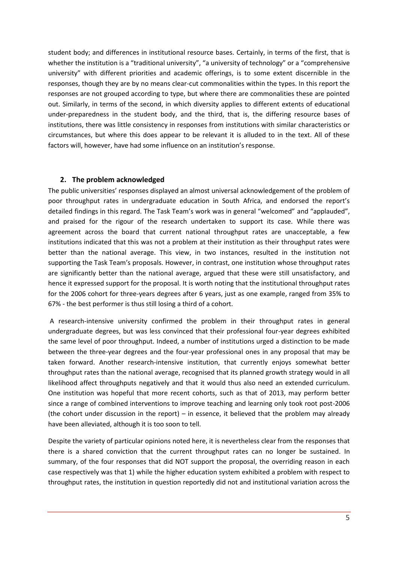student body; and differences in institutional resource bases. Certainly, in terms of the first, that is whether the institution is a "traditional university", "a university of technology" or a "comprehensive university" with different priorities and academic offerings, is to some extent discernible in the responses, though they are by no means clear-cut commonalities within the types. In this report the responses are not grouped according to type, but where there are commonalities these are pointed out. Similarly, in terms of the second, in which diversity applies to different extents of educational under-preparedness in the student body, and the third, that is, the differing resource bases of institutions, there was little consistency in responses from institutions with similar characteristics or circumstances, but where this does appear to be relevant it is alluded to in the text. All of these factors will, however, have had some influence on an institution's response.

#### **2. The problem acknowledged**

The public universities' responses displayed an almost universal acknowledgement of the problem of poor throughput rates in undergraduate education in South Africa, and endorsed the report's detailed findings in this regard. The Task Team's work was in general "welcomed" and "applauded", and praised for the rigour of the research undertaken to support its case. While there was agreement across the board that current national throughput rates are unacceptable, a few institutions indicated that this was not a problem at their institution as their throughput rates were better than the national average. This view, in two instances, resulted in the institution not supporting the Task Team's proposals. However, in contrast, one institution whose throughput rates are significantly better than the national average, argued that these were still unsatisfactory, and hence it expressed support for the proposal. It is worth noting that the institutional throughput rates for the 2006 cohort for three-years degrees after 6 years, just as one example, ranged from 35% to 67% - the best performer is thus still losing a third of a cohort.

A research-intensive university confirmed the problem in their throughput rates in general undergraduate degrees, but was less convinced that their professional four-year degrees exhibited the same level of poor throughput. Indeed, a number of institutions urged a distinction to be made between the three-year degrees and the four-year professional ones in any proposal that may be taken forward. Another research-intensive institution, that currently enjoys somewhat better throughput rates than the national average, recognised that its planned growth strategy would in all likelihood affect throughputs negatively and that it would thus also need an extended curriculum. One institution was hopeful that more recent cohorts, such as that of 2013, may perform better since a range of combined interventions to improve teaching and learning only took root post-2006 (the cohort under discussion in the report) – in essence, it believed that the problem may already have been alleviated, although it is too soon to tell.

Despite the variety of particular opinions noted here, it is nevertheless clear from the responses that there is a shared conviction that the current throughput rates can no longer be sustained. In summary, of the four responses that did NOT support the proposal, the overriding reason in each case respectively was that 1) while the higher education system exhibited a problem with respect to throughput rates, the institution in question reportedly did not and institutional variation across the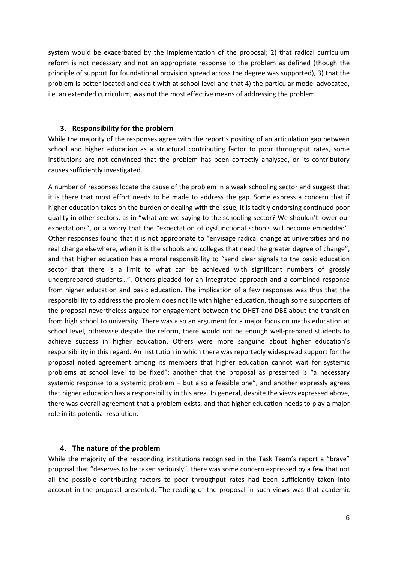system would be exacerbated by the implementation of the proposal; 2) that radical curriculum reform is not necessary and not an appropriate response to the problem as defined (though the principle of support for foundational provision spread across the degree was supported), 3) that the problem is better located and dealt with at school level and that 4) the particular model advocated, i.e. an extended curriculum, was not the most effective means of addressing the problem.

#### **3. Responsibility for the problem**

While the majority of the responses agree with the report's positing of an articulation gap between school and higher education as a structural contributing factor to poor throughput rates, some institutions are not convinced that the problem has been correctly analysed, or its contributory causes sufficiently investigated.

A number of responses locate the cause of the problem in a weak schooling sector and suggest that it is there that most effort needs to be made to address the gap. Some express a concern that if higher education takes on the burden of dealing with the issue, it is tacitly endorsing continued poor quality in other sectors, as in "what are we saying to the schooling sector? We shouldn't lower our expectations", or a worry that the "expectation of dysfunctional schools will become embedded". Other responses found that it is not appropriate to "envisage radical change at universities and no real change elsewhere, when it is the schools and colleges that need the greater degree of change", and that higher education has a moral responsibility to "send clear signals to the basic education sector that there is a limit to what can be achieved with significant numbers of grossly underprepared students…". Others pleaded for an integrated approach and a combined response from higher education and basic education. The implication of a few responses was thus that the responsibility to address the problem does not lie with higher education, though some supporters of the proposal nevertheless argued for engagement between the DHET and DBE about the transition from high school to university. There was also an argument for a major focus on maths education at school level, otherwise despite the reform, there would not be enough well-prepared students to achieve success in higher education. Others were more sanguine about higher education's responsibility in this regard. An institution in which there was reportedly widespread support for the proposal noted agreement among its members that higher education cannot wait for systemic problems at school level to be fixed"; another that the proposal as presented is "a necessary systemic response to a systemic problem – but also a feasible one", and another expressly agrees that higher education has a responsibility in this area. In general, despite the views expressed above, there was overall agreement that a problem exists, and that higher education needs to play a major role in its potential resolution.

#### **4. The nature of the problem**

While the majority of the responding institutions recognised in the Task Team's report a "brave" proposal that "deserves to be taken seriously", there was some concern expressed by a few that not all the possible contributing factors to poor throughput rates had been sufficiently taken into account in the proposal presented. The reading of the proposal in such views was that academic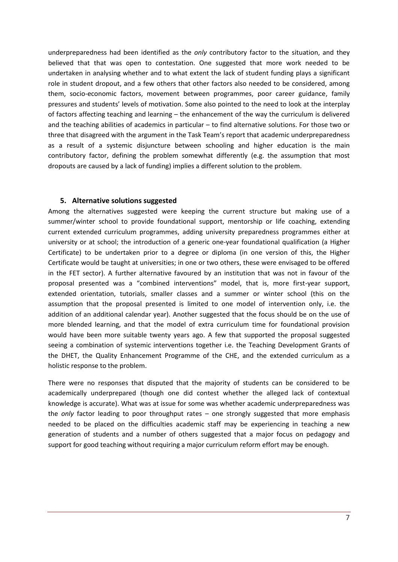underpreparedness had been identified as the *only* contributory factor to the situation, and they believed that that was open to contestation. One suggested that more work needed to be undertaken in analysing whether and to what extent the lack of student funding plays a significant role in student dropout, and a few others that other factors also needed to be considered, among them, socio-economic factors, movement between programmes, poor career guidance, family pressures and students' levels of motivation. Some also pointed to the need to look at the interplay of factors affecting teaching and learning – the enhancement of the way the curriculum is delivered and the teaching abilities of academics in particular – to find alternative solutions. For those two or three that disagreed with the argument in the Task Team's report that academic underpreparedness as a result of a systemic disjuncture between schooling and higher education is the main contributory factor, defining the problem somewhat differently (e.g. the assumption that most dropouts are caused by a lack of funding) implies a different solution to the problem.

#### **5. Alternative solutions suggested**

Among the alternatives suggested were keeping the current structure but making use of a summer/winter school to provide foundational support, mentorship or life coaching, extending current extended curriculum programmes, adding university preparedness programmes either at university or at school; the introduction of a generic one-year foundational qualification (a Higher Certificate) to be undertaken prior to a degree or diploma (in one version of this, the Higher Certificate would be taught at universities; in one or two others, these were envisaged to be offered in the FET sector). A further alternative favoured by an institution that was not in favour of the proposal presented was a "combined interventions" model, that is, more first-year support, extended orientation, tutorials, smaller classes and a summer or winter school (this on the assumption that the proposal presented is limited to one model of intervention only, i.e. the addition of an additional calendar year). Another suggested that the focus should be on the use of more blended learning, and that the model of extra curriculum time for foundational provision would have been more suitable twenty years ago. A few that supported the proposal suggested seeing a combination of systemic interventions together i.e. the Teaching Development Grants of the DHET, the Quality Enhancement Programme of the CHE, and the extended curriculum as a holistic response to the problem.

There were no responses that disputed that the majority of students can be considered to be academically underprepared (though one did contest whether the alleged lack of contextual knowledge is accurate). What was at issue for some was whether academic underpreparedness was the *only* factor leading to poor throughput rates – one strongly suggested that more emphasis needed to be placed on the difficulties academic staff may be experiencing in teaching a new generation of students and a number of others suggested that a major focus on pedagogy and support for good teaching without requiring a major curriculum reform effort may be enough.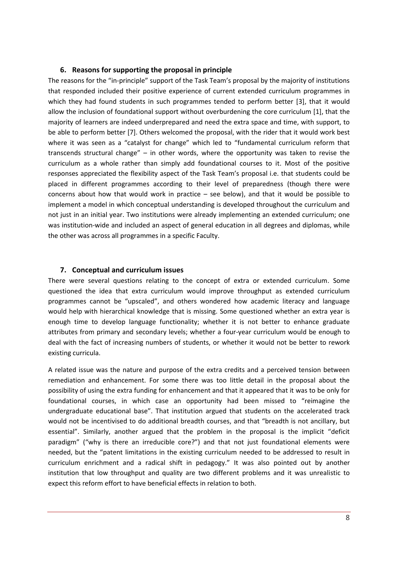#### **6. Reasons for supporting the proposal in principle**

The reasons for the "in-principle" support of the Task Team's proposal by the majority of institutions that responded included their positive experience of current extended curriculum programmes in which they had found students in such programmes tended to perform better [3], that it would allow the inclusion of foundational support without overburdening the core curriculum [1], that the majority of learners are indeed underprepared and need the extra space and time, with support, to be able to perform better [7]. Others welcomed the proposal, with the rider that it would work best where it was seen as a "catalyst for change" which led to "fundamental curriculum reform that transcends structural change" – in other words, where the opportunity was taken to revise the curriculum as a whole rather than simply add foundational courses to it. Most of the positive responses appreciated the flexibility aspect of the Task Team's proposal i.e. that students could be placed in different programmes according to their level of preparedness (though there were concerns about how that would work in practice – see below), and that it would be possible to implement a model in which conceptual understanding is developed throughout the curriculum and not just in an initial year. Two institutions were already implementing an extended curriculum; one was institution-wide and included an aspect of general education in all degrees and diplomas, while the other was across all programmes in a specific Faculty.

#### **7. Conceptual and curriculum issues**

There were several questions relating to the concept of extra or extended curriculum. Some questioned the idea that extra curriculum would improve throughput as extended curriculum programmes cannot be "upscaled", and others wondered how academic literacy and language would help with hierarchical knowledge that is missing. Some questioned whether an extra year is enough time to develop language functionality; whether it is not better to enhance graduate attributes from primary and secondary levels; whether a four-year curriculum would be enough to deal with the fact of increasing numbers of students, or whether it would not be better to rework existing curricula.

A related issue was the nature and purpose of the extra credits and a perceived tension between remediation and enhancement. For some there was too little detail in the proposal about the possibility of using the extra funding for enhancement and that it appeared that it was to be only for foundational courses, in which case an opportunity had been missed to "reimagine the undergraduate educational base". That institution argued that students on the accelerated track would not be incentivised to do additional breadth courses, and that "breadth is not ancillary, but essential". Similarly, another argued that the problem in the proposal is the implicit "deficit paradigm" ("why is there an irreducible core?") and that not just foundational elements were needed, but the "patent limitations in the existing curriculum needed to be addressed to result in curriculum enrichment and a radical shift in pedagogy." It was also pointed out by another institution that low throughput and quality are two different problems and it was unrealistic to expect this reform effort to have beneficial effects in relation to both.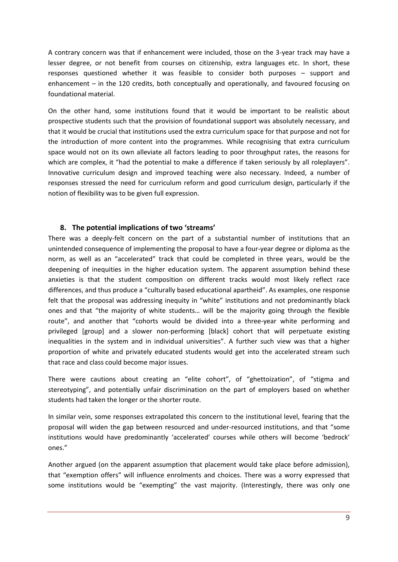A contrary concern was that if enhancement were included, those on the 3-year track may have a lesser degree, or not benefit from courses on citizenship, extra languages etc. In short, these responses questioned whether it was feasible to consider both purposes – support and enhancement – in the 120 credits, both conceptually and operationally, and favoured focusing on foundational material.

On the other hand, some institutions found that it would be important to be realistic about prospective students such that the provision of foundational support was absolutely necessary, and that it would be crucial that institutions used the extra curriculum space for that purpose and not for the introduction of more content into the programmes. While recognising that extra curriculum space would not on its own alleviate all factors leading to poor throughput rates, the reasons for which are complex, it "had the potential to make a difference if taken seriously by all roleplayers". Innovative curriculum design and improved teaching were also necessary. Indeed, a number of responses stressed the need for curriculum reform and good curriculum design, particularly if the notion of flexibility was to be given full expression.

#### **8. The potential implications of two 'streams'**

There was a deeply-felt concern on the part of a substantial number of institutions that an unintended consequence of implementing the proposal to have a four-year degree or diploma as the norm, as well as an "accelerated" track that could be completed in three years, would be the deepening of inequities in the higher education system. The apparent assumption behind these anxieties is that the student composition on different tracks would most likely reflect race differences, and thus produce a "culturally based educational apartheid". As examples, one response felt that the proposal was addressing inequity in "white" institutions and not predominantly black ones and that "the majority of white students… will be the majority going through the flexible route", and another that "cohorts would be divided into a three-year white performing and privileged [group] and a slower non-performing [black] cohort that will perpetuate existing inequalities in the system and in individual universities". A further such view was that a higher proportion of white and privately educated students would get into the accelerated stream such that race and class could become major issues.

There were cautions about creating an "elite cohort", of "ghettoization", of "stigma and stereotyping", and potentially unfair discrimination on the part of employers based on whether students had taken the longer or the shorter route.

In similar vein, some responses extrapolated this concern to the institutional level, fearing that the proposal will widen the gap between resourced and under-resourced institutions, and that "some institutions would have predominantly 'accelerated' courses while others will become 'bedrock' ones."

Another argued (on the apparent assumption that placement would take place before admission), that "exemption offers" will influence enrolments and choices. There was a worry expressed that some institutions would be "exempting" the vast majority. (Interestingly, there was only one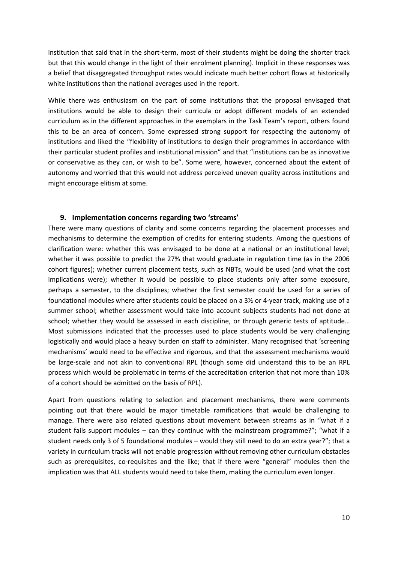institution that said that in the short-term, most of their students might be doing the shorter track but that this would change in the light of their enrolment planning). Implicit in these responses was a belief that disaggregated throughput rates would indicate much better cohort flows at historically white institutions than the national averages used in the report.

While there was enthusiasm on the part of some institutions that the proposal envisaged that institutions would be able to design their curricula or adopt different models of an extended curriculum as in the different approaches in the exemplars in the Task Team's report, others found this to be an area of concern. Some expressed strong support for respecting the autonomy of institutions and liked the "flexibility of institutions to design their programmes in accordance with their particular student profiles and institutional mission" and that "institutions can be as innovative or conservative as they can, or wish to be". Some were, however, concerned about the extent of autonomy and worried that this would not address perceived uneven quality across institutions and might encourage elitism at some.

#### **9. Implementation concerns regarding two 'streams'**

There were many questions of clarity and some concerns regarding the placement processes and mechanisms to determine the exemption of credits for entering students. Among the questions of clarification were: whether this was envisaged to be done at a national or an institutional level; whether it was possible to predict the 27% that would graduate in regulation time (as in the 2006 cohort figures); whether current placement tests, such as NBTs, would be used (and what the cost implications were); whether it would be possible to place students only after some exposure, perhaps a semester, to the disciplines; whether the first semester could be used for a series of foundational modules where after students could be placed on a 3½ or 4-year track, making use of a summer school; whether assessment would take into account subjects students had not done at school; whether they would be assessed in each discipline, or through generic tests of aptitude… Most submissions indicated that the processes used to place students would be very challenging logistically and would place a heavy burden on staff to administer. Many recognised that 'screening mechanisms' would need to be effective and rigorous, and that the assessment mechanisms would be large-scale and not akin to conventional RPL (though some did understand this to be an RPL process which would be problematic in terms of the accreditation criterion that not more than 10% of a cohort should be admitted on the basis of RPL).

Apart from questions relating to selection and placement mechanisms, there were comments pointing out that there would be major timetable ramifications that would be challenging to manage. There were also related questions about movement between streams as in "what if a student fails support modules – can they continue with the mainstream programme?"; "what if a student needs only 3 of 5 foundational modules – would they still need to do an extra year?"; that a variety in curriculum tracks will not enable progression without removing other curriculum obstacles such as prerequisites, co-requisites and the like; that if there were "general" modules then the implication was that ALL students would need to take them, making the curriculum even longer.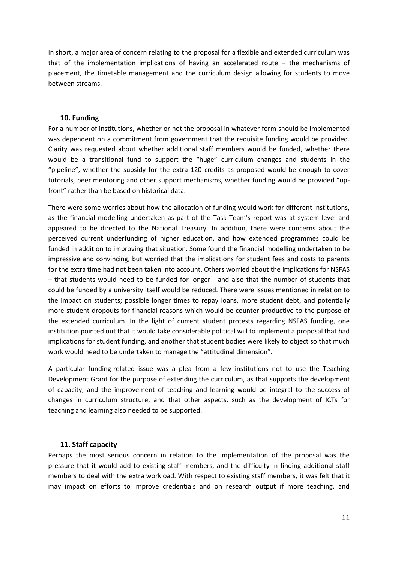In short, a major area of concern relating to the proposal for a flexible and extended curriculum was that of the implementation implications of having an accelerated route – the mechanisms of placement, the timetable management and the curriculum design allowing for students to move between streams.

#### **10. Funding**

For a number of institutions, whether or not the proposal in whatever form should be implemented was dependent on a commitment from government that the requisite funding would be provided. Clarity was requested about whether additional staff members would be funded, whether there would be a transitional fund to support the "huge" curriculum changes and students in the "pipeline", whether the subsidy for the extra 120 credits as proposed would be enough to cover tutorials, peer mentoring and other support mechanisms, whether funding would be provided "upfront" rather than be based on historical data.

There were some worries about how the allocation of funding would work for different institutions, as the financial modelling undertaken as part of the Task Team's report was at system level and appeared to be directed to the National Treasury. In addition, there were concerns about the perceived current underfunding of higher education, and how extended programmes could be funded in addition to improving that situation. Some found the financial modelling undertaken to be impressive and convincing, but worried that the implications for student fees and costs to parents for the extra time had not been taken into account. Others worried about the implications for NSFAS – that students would need to be funded for longer - and also that the number of students that could be funded by a university itself would be reduced. There were issues mentioned in relation to the impact on students; possible longer times to repay loans, more student debt, and potentially more student dropouts for financial reasons which would be counter-productive to the purpose of the extended curriculum. In the light of current student protests regarding NSFAS funding, one institution pointed out that it would take considerable political will to implement a proposal that had implications for student funding, and another that student bodies were likely to object so that much work would need to be undertaken to manage the "attitudinal dimension".

A particular funding-related issue was a plea from a few institutions not to use the Teaching Development Grant for the purpose of extending the curriculum, as that supports the development of capacity, and the improvement of teaching and learning would be integral to the success of changes in curriculum structure, and that other aspects, such as the development of ICTs for teaching and learning also needed to be supported.

#### **11. Staff capacity**

Perhaps the most serious concern in relation to the implementation of the proposal was the pressure that it would add to existing staff members, and the difficulty in finding additional staff members to deal with the extra workload. With respect to existing staff members, it was felt that it may impact on efforts to improve credentials and on research output if more teaching, and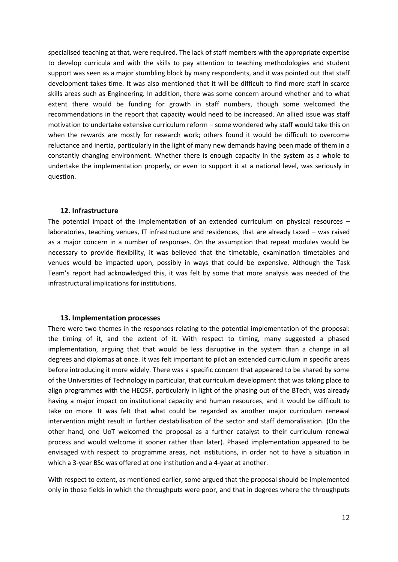specialised teaching at that, were required. The lack of staff members with the appropriate expertise to develop curricula and with the skills to pay attention to teaching methodologies and student support was seen as a major stumbling block by many respondents, and it was pointed out that staff development takes time. It was also mentioned that it will be difficult to find more staff in scarce skills areas such as Engineering. In addition, there was some concern around whether and to what extent there would be funding for growth in staff numbers, though some welcomed the recommendations in the report that capacity would need to be increased. An allied issue was staff motivation to undertake extensive curriculum reform – some wondered why staff would take this on when the rewards are mostly for research work; others found it would be difficult to overcome reluctance and inertia, particularly in the light of many new demands having been made of them in a constantly changing environment. Whether there is enough capacity in the system as a whole to undertake the implementation properly, or even to support it at a national level, was seriously in question.

#### **12. Infrastructure**

The potential impact of the implementation of an extended curriculum on physical resources – laboratories, teaching venues, IT infrastructure and residences, that are already taxed – was raised as a major concern in a number of responses. On the assumption that repeat modules would be necessary to provide flexibility, it was believed that the timetable, examination timetables and venues would be impacted upon, possibly in ways that could be expensive. Although the Task Team's report had acknowledged this, it was felt by some that more analysis was needed of the infrastructural implications for institutions.

#### **13. Implementation processes**

There were two themes in the responses relating to the potential implementation of the proposal: the timing of it, and the extent of it. With respect to timing, many suggested a phased implementation, arguing that that would be less disruptive in the system than a change in all degrees and diplomas at once. It was felt important to pilot an extended curriculum in specific areas before introducing it more widely. There was a specific concern that appeared to be shared by some of the Universities of Technology in particular, that curriculum development that was taking place to align programmes with the HEQSF, particularly in light of the phasing out of the BTech, was already having a major impact on institutional capacity and human resources, and it would be difficult to take on more. It was felt that what could be regarded as another major curriculum renewal intervention might result in further destabilisation of the sector and staff demoralisation. (On the other hand, one UoT welcomed the proposal as a further catalyst to their curriculum renewal process and would welcome it sooner rather than later). Phased implementation appeared to be envisaged with respect to programme areas, not institutions, in order not to have a situation in which a 3-year BSc was offered at one institution and a 4-year at another.

With respect to extent, as mentioned earlier, some argued that the proposal should be implemented only in those fields in which the throughputs were poor, and that in degrees where the throughputs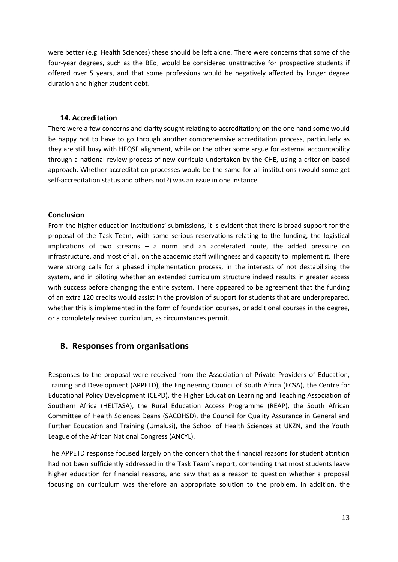were better (e.g. Health Sciences) these should be left alone. There were concerns that some of the four-year degrees, such as the BEd, would be considered unattractive for prospective students if offered over 5 years, and that some professions would be negatively affected by longer degree duration and higher student debt.

### **14. Accreditation**

There were a few concerns and clarity sought relating to accreditation; on the one hand some would be happy not to have to go through another comprehensive accreditation process, particularly as they are still busy with HEQSF alignment, while on the other some argue for external accountability through a national review process of new curricula undertaken by the CHE, using a criterion-based approach. Whether accreditation processes would be the same for all institutions (would some get self-accreditation status and others not?) was an issue in one instance.

## **Conclusion**

From the higher education institutions' submissions, it is evident that there is broad support for the proposal of the Task Team, with some serious reservations relating to the funding, the logistical implications of two streams – a norm and an accelerated route, the added pressure on infrastructure, and most of all, on the academic staff willingness and capacity to implement it. There were strong calls for a phased implementation process, in the interests of not destabilising the system, and in piloting whether an extended curriculum structure indeed results in greater access with success before changing the entire system. There appeared to be agreement that the funding of an extra 120 credits would assist in the provision of support for students that are underprepared, whether this is implemented in the form of foundation courses, or additional courses in the degree, or a completely revised curriculum, as circumstances permit.

# **B. Responses from organisations**

Responses to the proposal were received from the Association of Private Providers of Education, Training and Development (APPETD), the Engineering Council of South Africa (ECSA), the Centre for Educational Policy Development (CEPD), the Higher Education Learning and Teaching Association of Southern Africa (HELTASA), the Rural Education Access Programme (REAP), the South African Committee of Health Sciences Deans (SACOHSD), the Council for Quality Assurance in General and Further Education and Training (Umalusi), the School of Health Sciences at UKZN, and the Youth League of the African National Congress (ANCYL).

The APPETD response focused largely on the concern that the financial reasons for student attrition had not been sufficiently addressed in the Task Team's report, contending that most students leave higher education for financial reasons, and saw that as a reason to question whether a proposal focusing on curriculum was therefore an appropriate solution to the problem. In addition, the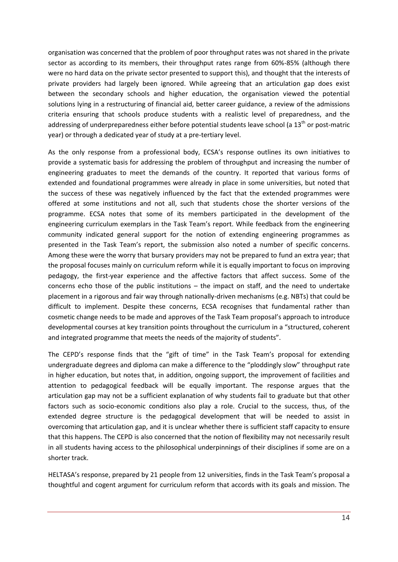organisation was concerned that the problem of poor throughput rates was not shared in the private sector as according to its members, their throughput rates range from 60%-85% (although there were no hard data on the private sector presented to support this), and thought that the interests of private providers had largely been ignored. While agreeing that an articulation gap does exist between the secondary schools and higher education, the organisation viewed the potential solutions lying in a restructuring of financial aid, better career guidance, a review of the admissions criteria ensuring that schools produce students with a realistic level of preparedness, and the addressing of underpreparedness either before potential students leave school (a 13<sup>th</sup> or post-matric year) or through a dedicated year of study at a pre-tertiary level.

As the only response from a professional body, ECSA's response outlines its own initiatives to provide a systematic basis for addressing the problem of throughput and increasing the number of engineering graduates to meet the demands of the country. It reported that various forms of extended and foundational programmes were already in place in some universities, but noted that the success of these was negatively influenced by the fact that the extended programmes were offered at some institutions and not all, such that students chose the shorter versions of the programme. ECSA notes that some of its members participated in the development of the engineering curriculum exemplars in the Task Team's report. While feedback from the engineering community indicated general support for the notion of extending engineering programmes as presented in the Task Team's report, the submission also noted a number of specific concerns. Among these were the worry that bursary providers may not be prepared to fund an extra year; that the proposal focuses mainly on curriculum reform while it is equally important to focus on improving pedagogy, the first-year experience and the affective factors that affect success. Some of the concerns echo those of the public institutions – the impact on staff, and the need to undertake placement in a rigorous and fair way through nationally-driven mechanisms (e.g. NBTs) that could be difficult to implement. Despite these concerns, ECSA recognises that fundamental rather than cosmetic change needs to be made and approves of the Task Team proposal's approach to introduce developmental courses at key transition points throughout the curriculum in a "structured, coherent and integrated programme that meets the needs of the majority of students".

The CEPD's response finds that the "gift of time" in the Task Team's proposal for extending undergraduate degrees and diploma can make a difference to the "ploddingly slow" throughput rate in higher education, but notes that, in addition, ongoing support, the improvement of facilities and attention to pedagogical feedback will be equally important. The response argues that the articulation gap may not be a sufficient explanation of why students fail to graduate but that other factors such as socio-economic conditions also play a role. Crucial to the success, thus, of the extended degree structure is the pedagogical development that will be needed to assist in overcoming that articulation gap, and it is unclear whether there is sufficient staff capacity to ensure that this happens. The CEPD is also concerned that the notion of flexibility may not necessarily result in all students having access to the philosophical underpinnings of their disciplines if some are on a shorter track.

HELTASA's response, prepared by 21 people from 12 universities, finds in the Task Team's proposal a thoughtful and cogent argument for curriculum reform that accords with its goals and mission. The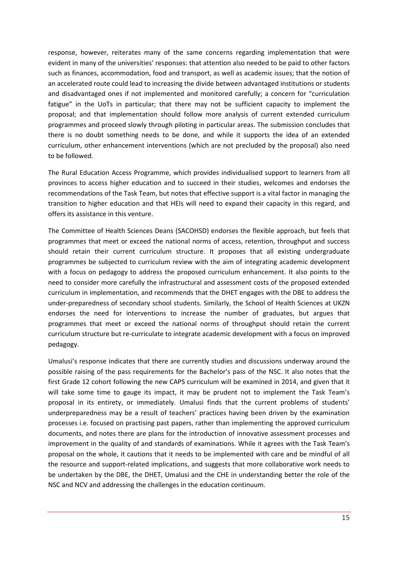response, however, reiterates many of the same concerns regarding implementation that were evident in many of the universities' responses: that attention also needed to be paid to other factors such as finances, accommodation, food and transport, as well as academic issues; that the notion of an accelerated route could lead to increasing the divide between advantaged institutions or students and disadvantaged ones if not implemented and monitored carefully; a concern for "curriculation fatigue" in the UoTs in particular; that there may not be sufficient capacity to implement the proposal; and that implementation should follow more analysis of current extended curriculum programmes and proceed slowly through piloting in particular areas. The submission concludes that there is no doubt something needs to be done, and while it supports the idea of an extended curriculum, other enhancement interventions (which are not precluded by the proposal) also need to be followed.

The Rural Education Access Programme, which provides individualised support to learners from all provinces to access higher education and to succeed in their studies, welcomes and endorses the recommendations of the Task Team, but notes that effective support is a vital factor in managing the transition to higher education and that HEIs will need to expand their capacity in this regard, and offers its assistance in this venture.

The Committee of Health Sciences Deans (SACOHSD) endorses the flexible approach, but feels that programmes that meet or exceed the national norms of access, retention, throughput and success should retain their current curriculum structure. It proposes that all existing undergraduate programmes be subjected to curriculum review with the aim of integrating academic development with a focus on pedagogy to address the proposed curriculum enhancement. It also points to the need to consider more carefully the infrastructural and assessment costs of the proposed extended curriculum in implementation, and recommends that the DHET engages with the DBE to address the under-preparedness of secondary school students. Similarly, the School of Health Sciences at UKZN endorses the need for interventions to increase the number of graduates, but argues that programmes that meet or exceed the national norms of throughput should retain the current curriculum structure but re-curriculate to integrate academic development with a focus on improved pedagogy.

Umalusi's response indicates that there are currently studies and discussions underway around the possible raising of the pass requirements for the Bachelor's pass of the NSC. It also notes that the first Grade 12 cohort following the new CAPS curriculum will be examined in 2014, and given that it will take some time to gauge its impact, it may be prudent not to implement the Task Team's proposal in its entirety, or immediately. Umalusi finds that the current problems of students' underpreparedness may be a result of teachers' practices having been driven by the examination processes i.e. focused on practising past papers, rather than implementing the approved curriculum documents, and notes there are plans for the introduction of innovative assessment processes and improvement in the quality of and standards of examinations. While it agrees with the Task Team's proposal on the whole, it cautions that it needs to be implemented with care and be mindful of all the resource and support-related implications, and suggests that more collaborative work needs to be undertaken by the DBE, the DHET, Umalusi and the CHE in understanding better the role of the NSC and NCV and addressing the challenges in the education continuum.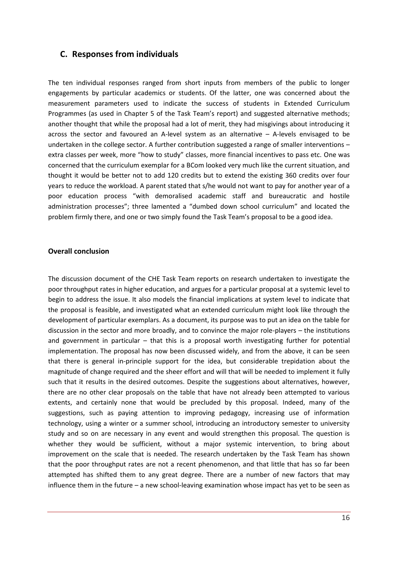## **C. Responses from individuals**

The ten individual responses ranged from short inputs from members of the public to longer engagements by particular academics or students. Of the latter, one was concerned about the measurement parameters used to indicate the success of students in Extended Curriculum Programmes (as used in Chapter 5 of the Task Team's report) and suggested alternative methods; another thought that while the proposal had a lot of merit, they had misgivings about introducing it across the sector and favoured an A-level system as an alternative – A-levels envisaged to be undertaken in the college sector. A further contribution suggested a range of smaller interventions – extra classes per week, more "how to study" classes, more financial incentives to pass etc. One was concerned that the curriculum exemplar for a BCom looked very much like the current situation, and thought it would be better not to add 120 credits but to extend the existing 360 credits over four years to reduce the workload. A parent stated that s/he would not want to pay for another year of a poor education process "with demoralised academic staff and bureaucratic and hostile administration processes"; three lamented a "dumbed down school curriculum" and located the problem firmly there, and one or two simply found the Task Team's proposal to be a good idea.

#### **Overall conclusion**

The discussion document of the CHE Task Team reports on research undertaken to investigate the poor throughput rates in higher education, and argues for a particular proposal at a systemic level to begin to address the issue. It also models the financial implications at system level to indicate that the proposal is feasible, and investigated what an extended curriculum might look like through the development of particular exemplars. As a document, its purpose was to put an idea on the table for discussion in the sector and more broadly, and to convince the major role-players – the institutions and government in particular – that this is a proposal worth investigating further for potential implementation. The proposal has now been discussed widely, and from the above, it can be seen that there is general in-principle support for the idea, but considerable trepidation about the magnitude of change required and the sheer effort and will that will be needed to implement it fully such that it results in the desired outcomes. Despite the suggestions about alternatives, however, there are no other clear proposals on the table that have not already been attempted to various extents, and certainly none that would be precluded by this proposal. Indeed, many of the suggestions, such as paying attention to improving pedagogy, increasing use of information technology, using a winter or a summer school, introducing an introductory semester to university study and so on are necessary in any event and would strengthen this proposal. The question is whether they would be sufficient, without a major systemic intervention, to bring about improvement on the scale that is needed. The research undertaken by the Task Team has shown that the poor throughput rates are not a recent phenomenon, and that little that has so far been attempted has shifted them to any great degree. There are a number of new factors that may influence them in the future – a new school-leaving examination whose impact has yet to be seen as